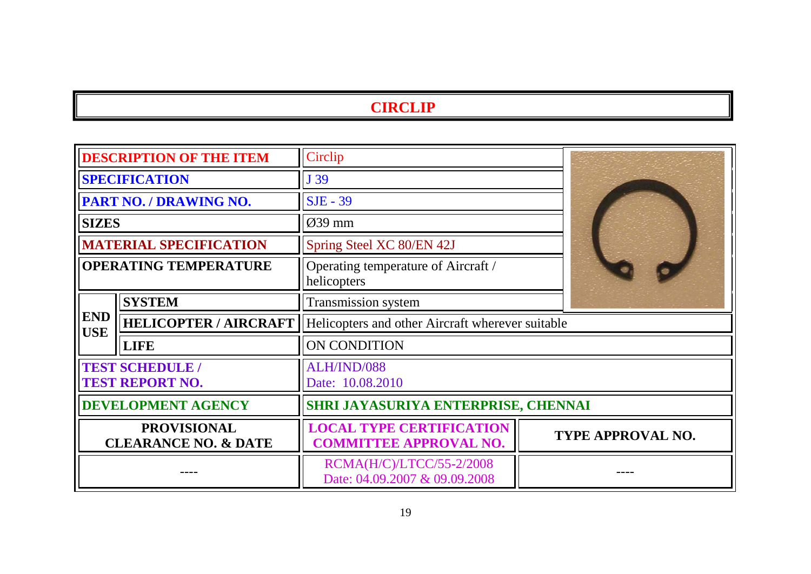## **CIRCLIP**

| <b>DESCRIPTION OF THE ITEM</b>                        |                              | Circlip                                                          |                          |  |
|-------------------------------------------------------|------------------------------|------------------------------------------------------------------|--------------------------|--|
| <b>SPECIFICATION</b>                                  |                              | J39                                                              |                          |  |
| <b>PART NO. / DRAWING NO.</b>                         |                              | $SJE - 39$                                                       |                          |  |
| <b>SIZES</b>                                          |                              | $\varnothing$ 39 mm                                              |                          |  |
| <b>MATERIAL SPECIFICATION</b>                         |                              | Spring Steel XC 80/EN 42J                                        |                          |  |
| <b>OPERATING TEMPERATURE</b>                          |                              | Operating temperature of Aircraft /<br>helicopters               |                          |  |
| <b>END</b><br><b>USE</b>                              | <b>SYSTEM</b>                | Transmission system                                              |                          |  |
|                                                       | <b>HELICOPTER / AIRCRAFT</b> | Helicopters and other Aircraft wherever suitable                 |                          |  |
|                                                       | <b>LIFE</b>                  | <b>ON CONDITION</b>                                              |                          |  |
| <b>TEST SCHEDULE /</b><br><b>TEST REPORT NO.</b>      |                              | ALH/IND/088<br>Date: 10.08.2010                                  |                          |  |
| <b>DEVELOPMENT AGENCY</b>                             |                              | SHRI JAYASURIYA ENTERPRISE, CHENNAI                              |                          |  |
| <b>PROVISIONAL</b><br><b>CLEARANCE NO. &amp; DATE</b> |                              | <b>LOCAL TYPE CERTIFICATION</b><br><b>COMMITTEE APPROVAL NO.</b> | <b>TYPE APPROVAL NO.</b> |  |
|                                                       |                              | RCMA(H/C)/LTCC/55-2/2008<br>Date: 04.09.2007 & 09.09.2008        |                          |  |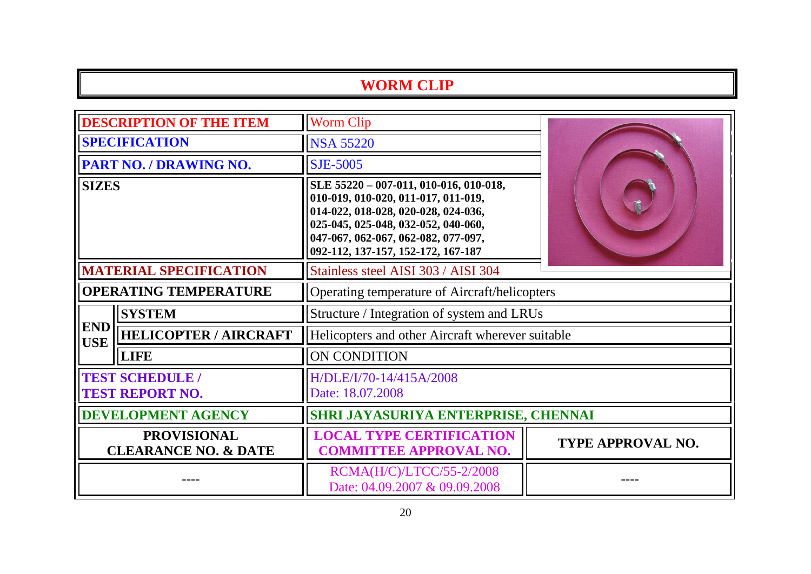## **WORM CLIP**

| <b>DESCRIPTION OF THE ITEM</b>                        |                              | <b>Worm Clip</b>                                                                                                                                                                                                                         |                   |  |
|-------------------------------------------------------|------------------------------|------------------------------------------------------------------------------------------------------------------------------------------------------------------------------------------------------------------------------------------|-------------------|--|
| <b>SPECIFICATION</b>                                  |                              | <b>NSA 55220</b>                                                                                                                                                                                                                         |                   |  |
| PART NO. / DRAWING NO.                                |                              | <b>SJE-5005</b>                                                                                                                                                                                                                          |                   |  |
| <b>SIZES</b>                                          |                              | SLE 55220 - 007-011, 010-016, 010-018,<br>010-019, 010-020, 011-017, 011-019,<br>014-022, 018-028, 020-028, 024-036,<br>025-045, 025-048, 032-052, 040-060,<br>047-067, 062-067, 062-082, 077-097,<br>092-112, 137-157, 152-172, 167-187 |                   |  |
| <b>MATERIAL SPECIFICATION</b>                         |                              | Stainless steel AISI 303 / AISI 304                                                                                                                                                                                                      |                   |  |
| <b>OPERATING TEMPERATURE</b>                          |                              | Operating temperature of Aircraft/helicopters                                                                                                                                                                                            |                   |  |
|                                                       | <b>SYSTEM</b>                | Structure / Integration of system and LRUs                                                                                                                                                                                               |                   |  |
| <b>END</b><br><b>USE</b>                              | <b>HELICOPTER / AIRCRAFT</b> | Helicopters and other Aircraft wherever suitable                                                                                                                                                                                         |                   |  |
|                                                       | <b>LIFE</b>                  | ON CONDITION                                                                                                                                                                                                                             |                   |  |
| <b>TEST SCHEDULE /</b><br><b>TEST REPORT NO.</b>      |                              | H/DLE/I/70-14/415A/2008<br>Date: 18.07.2008                                                                                                                                                                                              |                   |  |
| <b>DEVELOPMENT AGENCY</b>                             |                              | SHRI JAYASURIYA ENTERPRISE, CHENNAI                                                                                                                                                                                                      |                   |  |
| <b>PROVISIONAL</b><br><b>CLEARANCE NO. &amp; DATE</b> |                              | <b>LOCAL TYPE CERTIFICATION</b><br><b>COMMITTEE APPROVAL NO.</b>                                                                                                                                                                         | TYPE APPROVAL NO. |  |
|                                                       |                              | RCMA(H/C)/LTCC/55-2/2008<br>Date: 04.09.2007 & 09.09.2008                                                                                                                                                                                |                   |  |